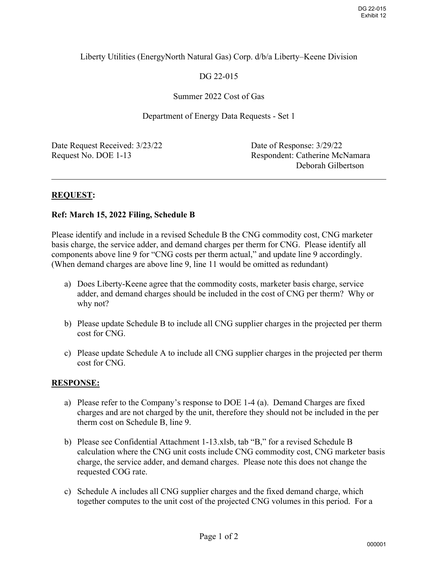## Liberty Utilities (EnergyNorth Natural Gas) Corp. d/b/a Liberty–Keene Division

# DG 22-015

### Summer 2022 Cost of Gas

Department of Energy Data Requests - Set 1

Date Request Received:  $3/23/22$  Date of Response:  $3/29/22$ 

Request No. DOE 1-13 Respondent: Catherine McNamara Deborah Gilbertson

 $\overline{a}$ 

## **REQUEST:**

#### **Ref: March 15, 2022 Filing, Schedule B**

Please identify and include in a revised Schedule B the CNG commodity cost, CNG marketer basis charge, the service adder, and demand charges per therm for CNG. Please identify all components above line 9 for "CNG costs per therm actual," and update line 9 accordingly. (When demand charges are above line 9, line 11 would be omitted as redundant)

- a) Does Liberty-Keene agree that the commodity costs, marketer basis charge, service adder, and demand charges should be included in the cost of CNG per therm? Why or why not?
- b) Please update Schedule B to include all CNG supplier charges in the projected per therm cost for CNG.
- c) Please update Schedule A to include all CNG supplier charges in the projected per therm cost for CNG.

#### **RESPONSE:**

- a) Please refer to the Company's response to DOE 1-4 (a). Demand Charges are fixed charges and are not charged by the unit, therefore they should not be included in the per therm cost on Schedule B, line 9.
- b) Please see Confidential Attachment 1-13.xlsb, tab "B," for a revised Schedule B calculation where the CNG unit costs include CNG commodity cost, CNG marketer basis charge, the service adder, and demand charges. Please note this does not change the requested COG rate.
- c) Schedule A includes all CNG supplier charges and the fixed demand charge, which together computes to the unit cost of the projected CNG volumes in this period. For a